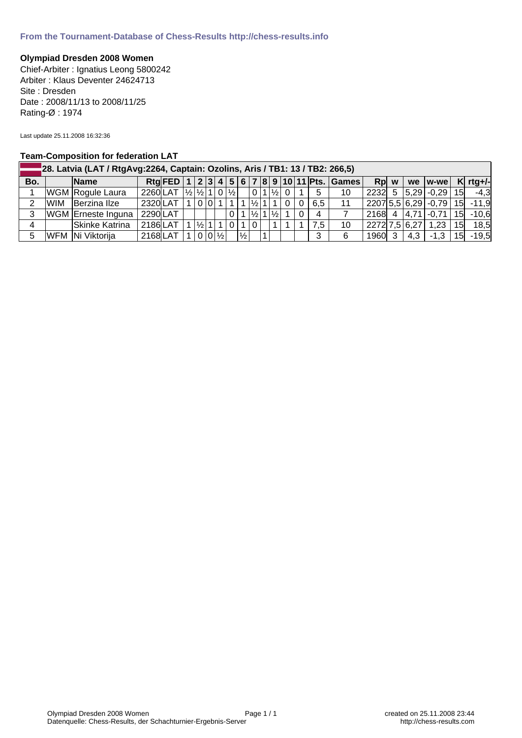## **Olympiad Dresden 2008 Women**

Chief-Arbiter : Ignatius Leong 5800242 Arbiter : Klaus Deventer 24624713 Site : Dresden Date : 2008/11/13 to 2008/11/25 Rating-Ø : 1974

Last update 25.11.2008 16:32:36

## **Team-Composition for federation LAT**

|     | 28. Latvia (LAT / RtgAvg:2264, Captain: Ozolins, Aris / TB1: 13 / TB2: 266,5) |                    |                                                                 |  |  |                    |  |  |                |               |                |  |                               |                       |                |                  |                                            |               |      |                             |     |            |
|-----|-------------------------------------------------------------------------------|--------------------|-----------------------------------------------------------------|--|--|--------------------|--|--|----------------|---------------|----------------|--|-------------------------------|-----------------------|----------------|------------------|--------------------------------------------|---------------|------|-----------------------------|-----|------------|
| Bo. |                                                                               | <b>Name</b>        |                                                                 |  |  |                    |  |  |                |               |                |  |                               |                       |                |                  | Rtg FED 1 2 3 4 5 6 7 8 9 10 11 Pts. Games | Rp w          |      | we w-we                     |     | $K$ rtg+/- |
|     |                                                                               | WGM Rogule Laura   | 2260LAT $\frac{1}{2}$ $\frac{1}{2}$ $\frac{1}{1}$ $\frac{0}{x}$ |  |  |                    |  |  |                |               |                |  |                               | $ 0 1 \frac{1}{2} 0 $ |                | 5                | 10                                         |               |      | 2232  5   5,29   -0,29   15 |     | $-4,3$     |
| 2   |                                                                               | WIM Berzina IIze   | $2320$ LAT                                                      |  |  |                    |  |  |                |               | $1/2$ 1        |  |                               |                       | 0 <sup>1</sup> | 6.5              | 11                                         |               |      | $ 2207 5,5 6,29 -0,79 $     |     | $15$ -11,9 |
| 3   |                                                                               | WGM Erneste Inguna | 2290LAT                                                         |  |  |                    |  |  | $\overline{0}$ |               |                |  | $ \frac{1}{2} 1 \frac{1}{2} $ |                       | $\Omega$       | 4                |                                            | 2168 4        | 4,71 | $-0.71$                     | 15I | $-10,6$    |
|     |                                                                               | Skinke Katrina     | 2186LAT                                                         |  |  | $1/2$ 1            |  |  |                |               | $\overline{0}$ |  |                               |                       |                | 7.5 <sub>1</sub> | 10                                         | 2272 7,5 6,27 |      | 1,23                        | 15I | 18,5       |
| 5   |                                                                               | WFM Ni Viktorija   | $2168$ LAT                                                      |  |  | $0 0 \frac{1}{2} $ |  |  |                | $\frac{1}{2}$ |                |  |                               |                       |                | 3                | 6                                          | 1960 3        | 4.3  | $-1.3$                      | 15  | $-19,5$    |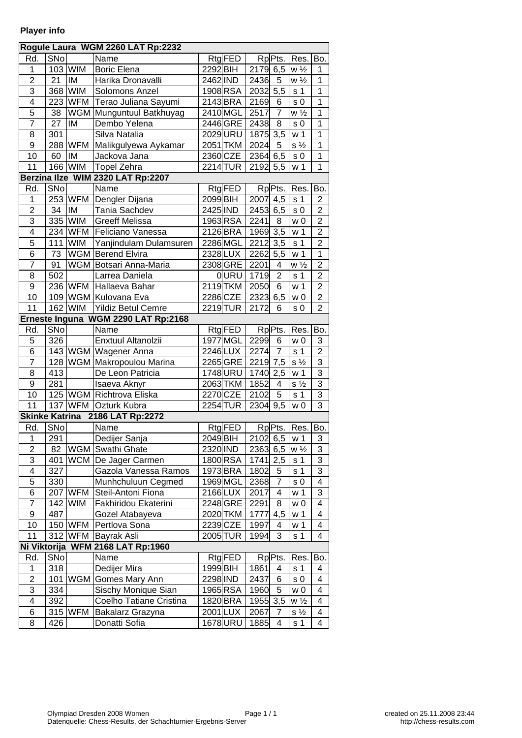## **Player info**

|                         |                 |                         | Rogule Laura WGM 2260 LAT Rp:2232   |             |            |                       |                         |                     |                |
|-------------------------|-----------------|-------------------------|-------------------------------------|-------------|------------|-----------------------|-------------------------|---------------------|----------------|
| Rd.                     | SN <sub>o</sub> |                         | Name                                |             | $Rtg$ FED  |                       | RpPts.                  | Res.                | Bo.            |
| 1                       |                 | 103 WIM                 | <b>Boric Elena</b>                  | 2292 BIH    |            | $\overline{2179}$ 6,5 |                         | $w\frac{1}{2}$      | 1              |
| $\overline{2}$          | 21              | IM                      | Harika Dronavalli                   | 2462 IND    |            | 2436                  | 5                       | $w\frac{1}{2}$      | $\mathbf 1$    |
| $\overline{3}$          | 368             | <b>WIM</b>              | Solomons Anzel                      |             | 1908 RSA   | $2032 \mid 5,5$       |                         | s <sub>1</sub>      | $\overline{1}$ |
| 4                       | 223             | WFM                     | Terao Juliana Sayumi                |             | 2143 BRA   | 2169                  | 6                       | s <sub>0</sub>      | $\mathbf 1$    |
| $\overline{5}$          | 38              | <b>WGM</b>              | Munguntuul Batkhuyag                |             | 2410 MGL   | 2517                  | $\overline{7}$          | $w\frac{1}{2}$      | $\overline{1}$ |
| $\overline{7}$          | 27              | lıM                     | Dembo Yelena                        |             | $2446$ GRE | 2438                  | 8                       | s <sub>0</sub>      | $\mathbf{1}$   |
| 8                       | 301             |                         | Silva Natalia                       |             | 2029URU    | 1875 3,5              |                         | w <sub>1</sub>      | $\overline{1}$ |
| $\overline{9}$          | 288             | <b>WFM</b>              | Malikgulyewa Aykamar                |             | 2051 TKM   | $\overline{2}024$     | 5                       | $s\frac{1}{2}$      | $\mathbf 1$    |
| 10                      | 60              | IM                      | Jackova Jana                        | 2360 CZE    |            | 2364 6,5              |                         | s <sub>0</sub>      | $\mathbf{1}$   |
| 11                      | 166             | <b>WIM</b>              | Topel Zehra                         | 2214 TUR    |            | 2192 5,5              |                         | w <sub>1</sub>      | 1              |
|                         |                 | <b>Berzina lize WIM</b> | 2320 LAT Rp:2207                    |             |            |                       |                         |                     |                |
| Rd.                     | SNo             |                         | Name                                |             | Rtg FED    |                       | Rp <sub>Pts</sub> .     | Res.                | Bo.            |
| 1                       |                 | 253 WFM                 | Dengler Dijana                      | 2099 BIH    |            | 2007 4,5              |                         | s <sub>1</sub>      | $\overline{2}$ |
| 2                       | 34              | IM                      | Tania Sachdev                       | $2425$  IND |            | 2453 6,5              |                         | s <sub>0</sub>      | $\overline{c}$ |
| $\overline{3}$          |                 | 335 WIM                 | Greeff Melissa                      |             | 1963 RSA   | 2241                  | 8                       | w <sub>0</sub>      | $\overline{2}$ |
| 4                       |                 |                         | 234 WFM Feliciano Vanessa           | $2126$ BRA  |            | 1969 3,5              |                         | w <sub>1</sub>      | $\overline{c}$ |
| 5                       | 111             | WIM                     | Yanjindulam Dulamsuren              | 2286 MGL    |            | 2212 3,5              |                         | s <sub>1</sub>      | $\overline{2}$ |
| 6                       | 73              |                         | <b>WGM</b> Berend Elvira            | 2328LUX     |            | 2262 5,5              |                         | w <sub>1</sub>      | $\overline{1}$ |
| $\overline{7}$          | 91              |                         | WGM Botsari Anna-Maria              |             | 2308 GRE   | 2201                  | $\overline{\mathbf{4}}$ | $w\frac{1}{2}$      | $\overline{2}$ |
| 8                       | 502             |                         | Larrea Daniela                      |             | 0URU       | 1719                  | $\overline{2}$          | s <sub>1</sub>      | $\overline{2}$ |
| $\overline{9}$          |                 | 236 WFM                 | Hallaeva Bahar                      |             | $2119$ TKM | 2050                  | $6\overline{6}$         | w <sub>1</sub>      | $\overline{2}$ |
| 10                      |                 |                         | 109 WGM Kulovana Eva                |             | 2286 CZE   | 2323   6,5            |                         | w <sub>0</sub>      | $\overline{2}$ |
| $\overline{11}$         |                 | 162 WIM                 | Yildiz Betul Cemre                  |             | 2219TUR    | 2172                  | 6                       | s 0                 | $\overline{2}$ |
|                         |                 |                         | Erneste Inguna WGM 2290 LAT Rp:2168 |             |            |                       |                         |                     |                |
| Rd.                     | SNo             |                         | Name                                |             | RtgFED     |                       | RpPts.                  | Res.                | Bo.            |
| $\overline{5}$          | 326             |                         | Enxtuul Altanolzii                  |             | 1977 MGL   | 2299                  | $\,6$                   | w <sub>0</sub>      | 3              |
| $\overline{6}$          |                 |                         | 143 WGM Wagener Anna                |             | 2246LUX    | 2274                  | $\overline{7}$          | s <sub>1</sub>      | $\overline{2}$ |
| $\overline{7}$          | 128             |                         | WGM Makropoulou Marina              |             | 2265 GRE   | 2219 7,5              |                         | $s\frac{1}{2}$      | 3              |
| 8                       | 413             |                         | De Leon Patricia                    |             | 1748 URU   | $1740 \overline{2,5}$ |                         | w <sub>1</sub>      | $\overline{3}$ |
| 9                       | 281             |                         | Isaeva Aknyr                        |             | 2063 TKM   | 1852                  | 4                       | $s\frac{1}{2}$      | $\overline{3}$ |
| 10                      |                 |                         | 125 WGM Richtrova Eliska            |             | 2270 CZE   | 2102                  | $\overline{5}$          | s <sub>1</sub>      | $\overline{3}$ |
| 11                      | 137             | <b>WFM</b>              | <b>Ozturk Kubra</b>                 |             | $2254$ TUR | $2304$ 9,5            |                         | w <sub>0</sub>      | $\overline{3}$ |
| <b>Skinke Katrina</b>   |                 |                         | 2186 LAT Rp:2272                    |             |            |                       |                         |                     |                |
| Rd.                     | SNo             |                         | Name                                |             | RtgFED     |                       |                         | RpPts.   Res.   Bo. |                |
| 1                       | 291             |                         | Dedijer Sanja                       | 2049 BIH    |            | 2102 6,5              |                         | w <sub>1</sub>      | 3              |
| $\overline{2}$          | 82              | WGM                     | Swathi Ghate                        | 2320 IND    |            | 2363 6,5              |                         | $w\frac{1}{2}$      | 3              |
| 3                       | 401             |                         | WCM De Jager Carmen                 | 1800 RSA    |            | $1741 \overline{2,5}$ |                         | s <sub>1</sub>      | 3              |
| 4                       | 327             |                         | Gazola Vanessa Ramos                |             | 1973 BRA   | 1802                  | 5                       | s <sub>1</sub>      | 3              |
| $\overline{5}$          | 330             |                         | Munhchuluun Cegmed                  |             | 1969 MGL   | 2368                  | $\overline{7}$          | s <sub>0</sub>      | 4              |
| $\overline{6}$          | 207             | <b>WFM</b>              | Steil-Antoni Fiona                  | 2166LUX     |            | 2017                  | 4                       | w <sub>1</sub>      | 3              |
| $\overline{7}$          | 142             | WIM                     | Fakhiridou Ekaterini                |             | $2248$ GRE | 2291                  | 8                       | w 0                 | 4              |
| 9                       | 487             |                         | Gozel Atabayeva                     |             | 2020 TKM   | 1777                  | 4,5                     | w <sub>1</sub>      | 4              |
| 10                      |                 | 150 WFM                 | Pertlova Sona                       | 2239 CZE    |            | 1997                  | 4                       | w 1                 | 4              |
| 11                      |                 | 312 WFM                 | Bayrak Asli                         | 2005 TUR    |            | 1994                  | 3                       | s <sub>1</sub>      | 4              |
|                         |                 | Ni Viktorija WFM        | 2168 LAT Rp:1960                    |             |            |                       |                         |                     |                |
| Rd.                     | SN <sub>o</sub> |                         | Name                                |             | RtgFED     |                       | Rp <sub>Pts</sub> .     | Res.                | Bo.            |
| 1                       | 318             |                         | Dedijer Mira                        | 1999 BIH    |            | 1861                  | 4                       | s <sub>1</sub>      | 4              |
| $\overline{2}$          | 101             | WGM                     | Gomes Mary Ann                      | 2298 IND    |            | 2437                  | 6                       | s <sub>0</sub>      | 4              |
| 3                       | 334             |                         | Sischy Monique Sian                 | 1965 RSA    |            | 1960                  | 5                       | w <sub>0</sub>      | 4              |
| $\overline{\mathbf{4}}$ | 392             |                         | Coelho Tatiane Cristina             | 1820 BRA    |            | 1955 3,5              |                         | $w\frac{1}{2}$      | 4              |
| 6                       | 315             | <b>WFM</b>              | Bakalarz Grazyna                    | 2001 LUX    |            | 2067                  | 7                       | $s\frac{1}{2}$      | 4              |
| 8                       | 426             |                         | Donatti Sofia                       |             | 1678URU    | 1885                  | 4                       | s <sub>1</sub>      | 4              |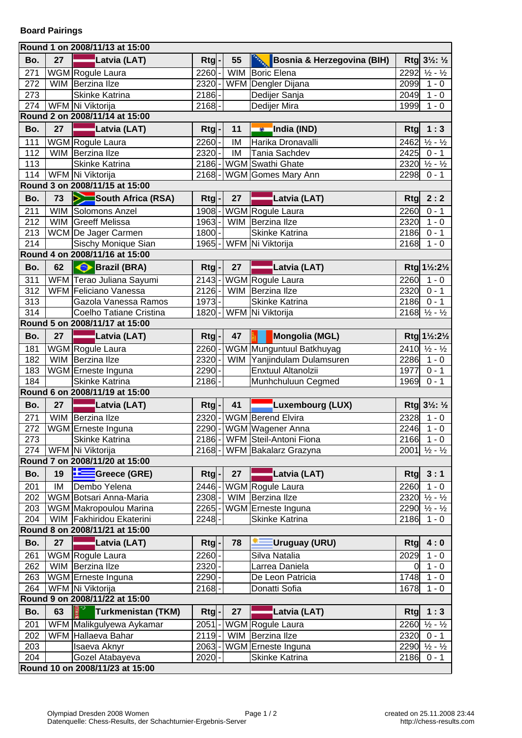|                                |    | Round 1 on 2008/11/13 at 15:00  |                         |    |                                   |                |                                                                    |  |  |  |
|--------------------------------|----|---------------------------------|-------------------------|----|-----------------------------------|----------------|--------------------------------------------------------------------|--|--|--|
| Bo.                            | 27 | Latvia (LAT)                    | Rtg                     | 55 | Bosnia & Herzegovina (BIH)        |                | $Rtg$ 3½: ½                                                        |  |  |  |
| 271                            |    | WGM Rogule Laura                | $2260 -$                |    | WIM Boric Elena                   | 2292           | $\frac{1}{2} - \frac{1}{2}$                                        |  |  |  |
| 272                            |    | WIM Berzina IIze                | 2320-                   |    | WFM Dengler Dijana                | 2099           | $\frac{1}{1}$ - 0                                                  |  |  |  |
| 273                            |    | <b>Skinke Katrina</b>           | $2186 -$                |    | Dedijer Sanja                     | 2049           | $1 - 0$                                                            |  |  |  |
| 274                            |    | WFM Ni Viktorija                | $\overline{2168}$ -     |    | Dedijer Mira                      | 1999           | $1 - 0$                                                            |  |  |  |
|                                |    | Round 2 on 2008/11/14 at 15:00  |                         |    |                                   |                |                                                                    |  |  |  |
| Bo.                            | 27 | Latvia (LAT)                    | $Rtg$ -                 | 11 | India (IND)                       | <b>Rtg</b>     | 1:3                                                                |  |  |  |
| 111                            |    | WGM Rogule Laura                | $2260 -$                | IM | Harika Dronavalli                 | 2462           | $\frac{1}{2} - \frac{1}{2}$                                        |  |  |  |
| 112                            |    | WIM Berzina IIze                | $2320 -$                | IM | Tania Sachdev                     | 2425           | $0 - 1$                                                            |  |  |  |
| 113                            |    | <b>Skinke Katrina</b>           |                         |    | 2186-WGM Swathi Ghate             |                | $2320 \frac{1}{2} - \frac{1}{2}$                                   |  |  |  |
| 114                            |    | WFM Ni Viktorija                |                         |    | 2168-WGM Gomes Mary Ann           | 2298           | $0 - 1$                                                            |  |  |  |
|                                |    | Round 3 on 2008/11/15 at 15:00  |                         |    |                                   |                |                                                                    |  |  |  |
| Bo.                            | 73 | South Africa (RSA)              | $Rtg$ -                 | 27 | Latvia (LAT)                      | Rtg            | 2:2                                                                |  |  |  |
| 211                            |    | WIM Solomons Anzel              | 1908-                   |    | WGM Rogule Laura                  | 2260           | $0 - 1$                                                            |  |  |  |
| 212                            |    | WIM Greeff Melissa              | $1963$ -                |    | WIM Berzina IIze                  | 2320           | $1 - 0$                                                            |  |  |  |
| 213                            |    | WCM De Jager Carmen             | $1800 -$                |    | Skinke Katrina                    | 2186           | $0 - 1$                                                            |  |  |  |
| 214                            |    | Sischy Monique Sian             |                         |    | 1965 - WFM Ni Viktorija           | 2168           | $1 - 0$                                                            |  |  |  |
|                                |    | Round 4 on 2008/11/16 at 15:00  |                         |    |                                   |                |                                                                    |  |  |  |
| Bo.                            | 62 | Brazil (BRA)                    | $Rtg$ $\vert$ - $\vert$ | 27 | Latvia (LAT)                      |                | Rtg 1½:2½                                                          |  |  |  |
| 311                            |    | WFM Terao Juliana Sayumi        |                         |    | 2143-WGM Rogule Laura             | 2260           | $1 - 0$                                                            |  |  |  |
| $\overline{312}$               |    | WFM Feliciano Vanessa           |                         |    | 2126- WIM Berzina Ilze            | 2320           | $0 - 1$                                                            |  |  |  |
| $\overline{313}$               |    | Gazola Vanessa Ramos            | $1973$ -                |    | Skinke Katrina                    |                | $2186$ 0 - 1                                                       |  |  |  |
| 314                            |    | Coelho Tatiane Cristina         |                         |    | 1820 - WFM Ni Viktorija           |                | $2168 \times 12$                                                   |  |  |  |
|                                |    | Round 5 on 2008/11/17 at 15:00  |                         |    |                                   |                |                                                                    |  |  |  |
| Bo.                            | 27 | Latvia (LAT)                    | $Rtg$ -                 | 47 | Mongolia (MGL)                    |                | $Rtg$ 1 <sup>1</sup> / <sub>2</sub> :2 <sup>1</sup> / <sub>2</sub> |  |  |  |
| 181                            |    | WGM Rogule Laura                |                         |    | 2260 - WGM Munguntuul Batkhuyag   |                | $2410 \frac{1}{2} - \frac{1}{2}$                                   |  |  |  |
| 182                            |    | WIM Berzina IIze                |                         |    | 2320 - WIM Yanjindulam Dulamsuren | 2286           | $1 - 0$                                                            |  |  |  |
| 183                            |    | WGM Erneste Inguna              | $2290 -$                |    | Enxtuul Altanolzii                | 1977           | $0 - 1$                                                            |  |  |  |
| 184                            |    | Skinke Katrina                  | $2186 -$                |    | Munhchuluun Cegmed                | 1969           | $0 - 1$                                                            |  |  |  |
| Round 6 on 2008/11/19 at 15:00 |    |                                 |                         |    |                                   |                |                                                                    |  |  |  |
|                                |    |                                 |                         |    |                                   |                |                                                                    |  |  |  |
| Bo.                            | 27 | Latvia (LAT)                    | Rtg                     | 41 | Luxembourg (LUX)                  |                | $Rtg$ 3½: ½                                                        |  |  |  |
| 271                            |    | WIM Berzina IIze                |                         |    | 2320 - WGM Berend Elvira          | 2328           | $1 - 0$                                                            |  |  |  |
| 272                            |    | WGM Erneste Inguna              |                         |    | 2290 - WGM Wagener Anna           | 2246           | $1 - 0$                                                            |  |  |  |
| 273                            |    | Skinke Katrina                  |                         |    | 2186-WFM Steil-Antoni Fiona       |                | $2166$ 1 - 0                                                       |  |  |  |
| 274                            |    | WFM Ni Viktorija                | $\overline{2}$ 168 -    |    | WFM Bakalarz Grazyna              |                | $2001 \times 12$                                                   |  |  |  |
|                                |    | Round 7 on 2008/11/20 at 15:00  |                         |    |                                   |                |                                                                    |  |  |  |
| Bo.                            | 19 | Greece (GRE)                    | Rtg                     | 27 | Latvia (LAT)                      | Rtg            | 3:1                                                                |  |  |  |
| 201                            | IM | Dembo Yelena                    | $2446 -$                |    | WGM Rogule Laura                  | 2260           | $1 - 0$                                                            |  |  |  |
| 202                            |    | WGM Botsari Anna-Maria          | 2308 -                  |    | WIM Berzina IIze                  |                | $2320 \frac{1}{2} - \frac{1}{2}$                                   |  |  |  |
| 203                            |    | WGM Makropoulou Marina          | $2265 -$                |    | WGM Erneste Inguna                |                | $2290 \frac{1}{2} - \frac{1}{2}$                                   |  |  |  |
| 204                            |    | WIM Fakhiridou Ekaterini        | 2248                    |    | <b>Skinke Katrina</b>             | 2186           | $1 - 0$                                                            |  |  |  |
|                                |    | Round 8 on 2008/11/21 at 15:00  |                         |    |                                   |                |                                                                    |  |  |  |
| Bo.                            | 27 | Latvia (LAT)                    | $Rtg$ -                 | 78 | Uruguay (URU)                     | Rtg            | 4:0                                                                |  |  |  |
| 261                            |    | WGM Rogule Laura                | $2260 -$                |    | Silva Natalia                     | 2029           | $1 - 0$                                                            |  |  |  |
| 262                            |    | WIM Berzina IIze                | $2320 -$                |    | Larrea Daniela                    | $\overline{0}$ | $1 - 0$                                                            |  |  |  |
| 263                            |    | WGM Erneste Inguna              | $2290 -$                |    | De Leon Patricia                  | 1748           | $1 - 0$                                                            |  |  |  |
| 264                            |    | WFM Ni Viktorija                | $2168 -$                |    | Donatti Sofia                     | 1678           | $1 - 0$                                                            |  |  |  |
|                                |    | Round 9 on 2008/11/22 at 15:00  |                         |    |                                   |                |                                                                    |  |  |  |
| Bo.                            | 63 | Turkmenistan (TKM)              | Rtg                     | 27 | Latvia (LAT)                      | Rtg            | 1:3                                                                |  |  |  |
| 201                            |    | WFM Malikgulyewa Aykamar        | $2051$ -                |    | WGM Rogule Laura                  |                | $2260 \frac{1}{2} - \frac{1}{2}$                                   |  |  |  |
| 202                            |    | WFM Hallaeva Bahar              | $2119 -$                |    | WIM Berzina IIze                  |                | $2320 0 - 1$                                                       |  |  |  |
| 203                            |    | Isaeva Aknyr                    | $2063$ -                |    | WGM Erneste Inguna                |                | $2290 \frac{1}{2} - \frac{1}{2}$                                   |  |  |  |
| 204                            |    | Gozel Atabayeva                 | $2020$ -                |    | Skinke Katrina                    | 2186           | $0 - 1$                                                            |  |  |  |
|                                |    | Round 10 on 2008/11/23 at 15:00 |                         |    |                                   |                |                                                                    |  |  |  |